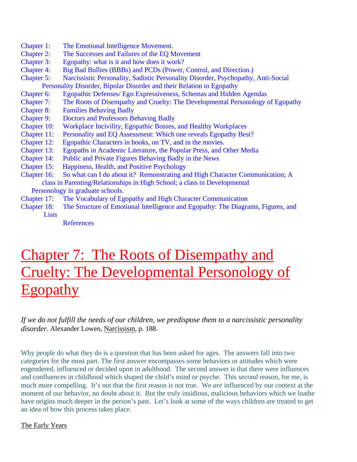- Chapter 1: The Emotional Intelligence Movement.
- Chapter 2: The Successes and Failures of the EQ Movement
- Chapter 3: Egopathy: what is it and how does it work?
- Chapter 4: Big Bad Bullies (BBBs) and PCDs (Power, Control, and Direction.)
- Chapter 5: Narcissistic Personality, Sadistic Personality Disorder, Psychopathy, Anti-Social
- Personality Disorder, Bipolar Disorder and their Relation to Egopathy
- Chapter 6: Egopathic Defenses/ Ego Expressiveness, Schemas and Hidden Agendas
- Chapter 7: The Roots of Disempathy and Cruelty: The Developmental Personology of Egopathy
- Chapter 8: Families Behaving Badly
- Chapter 9: Doctors and Professors Behaving Badly
- Chapter 10: Workplace Incivility, Egopathic Bosses, and Healthy Workplaces
- Chapter 11: Personality and EQ Assessment: Which one reveals Egopathy Best?
- Chapter 12: Egopathic Characters in books, on TV, and in the movies.
- Chapter 13: Egopaths in Academic Literature, the Popular Press, and Other Media
- Chapter 14: Public and Private Figures Behaving Badly in the News
- Chapter 15: Happiness, Health, and Positive Psychology
- Chapter 16: So what can I do about it? Remonstrating and High Character Communication; A class in Parenting/Relationships in High School; a class in Developmental

Personology in graduate schools.

- Chapter 17: The Vocabulary of Egopathy and High Character Communication
- Chapter 18: The Structure of Emotional Intelligence and Egopathy: The Diagrams, Figures, and Lists

References

# Chapter 7: The Roots of Disempathy and Cruelty: The Developmental Personology of **Egopathy**

*If we do not fulfill the needs of our children, we predispose them to a narcissistic personality disorder*. Alexander Lowen, Narcissism, p. 188.

Why people do what they do is a question that has been asked for ages. The answers fall into two categories for the most part. The first answer encompasses some behaviors or attitudes which were engendered, influenced or decided upon in adulthood. The second answer is that there were influences and confluences in childhood which shaped the child's mind or psyche. This second reason, for me, is much more compelling. It's not that the first reason is not true. We *are* influenced by our context at the moment of our behavior, no doubt about it. But the truly insidious, malicious behaviors which we loathe have origins much deeper in the person's past. Let's look at some of the ways children are treated to get an idea of how this process takes place.

# The Early Years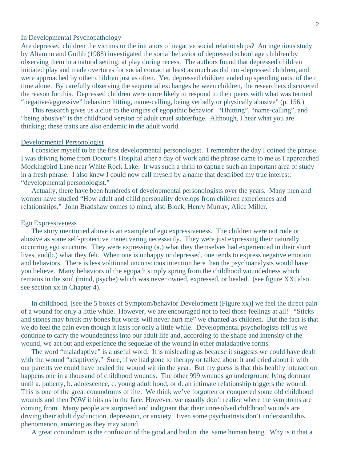## In Developmental Psychopathology

Are depressed children the victims or the initiators of negative social relationships? An ingenious study by Altamnn and Gotlib (1988) investigated the social behavior of depressed school age children by observing them in a natural setting: at play during recess. The authors found that depressed children initiated play and made overtures for social contact at least as much as did non-depressed children, and were approached by other children just as often. Yet, depressed children ended up spending most of their time alone. By carefully observing the sequential exchanges between children, the researchers discovered the reason for this. Depressed children were more likely to respond to their peers with what was termed "negative/aggressive" behavior: hitting, name-calling, being verbally or physically abusive" (p. 156.)

 This research gives us a clue to the origins of egopathic behavior. "Hhitting", "name-calling", and "being abusive" is the childhood version of adult cruel subterfuge. Although, I hear what you are thinking; these traits are also endemic in the adult world.

# Developmental Personologist

 I consider myself to be the first developmental personologist. I remember the day I coined the phrase. I was driving home from Doctor's Hospital after a day of work and the phrase came to me as I approached Mockingbird Lane near White Rock Lake. It was such a thrill to capture such an important area of study in a fresh phrase. I also knew I could now call myself by a name that described my true interest: "developmental personologist."

 Actually, there have been hundreds of developmental personologists over the years. Many men and women have studied "How adult and child personality develops from children experiences and relationships." John Bradshaw comes to mind, also Block, Henry Murray, Alice Miller.

#### Ego Expressiveness

The story mentioned above is an example of ego expressiveness. The children were not rude or abusive as some self-protective maneuvering necessarily. They were just expressing their naturally occurring ego structure. They were expressing (a.) what they themselves had experienced in their short lives, and(b.) what they felt. When one is unhappy or depressed, one tends to express negative emotion and behaviors. There is less volitional unconscious intention here than the psychoanalysts would have you believe. Many behaviors of the egopath simply spring from the childhood woundedness which remains in the soul (mind, psyche) which was never owned, expressed, or healed. (see figure XX; also see section xx in Chapter 4).

In childhood, [see the 5 boxes of Symptom/behavior Development (Figure xx)] we feel the direct pain of a wound for only a little while. However, we are encouraged not to feel those feelings at all! "Sticks and stones may break my bones but words will never hurt me" we chanted as children. But the fact is that we do feel the pain even though it lasts for only a little while. Developmental psychologists tell us we continue to carry the woundedness into our adult life and, according to the shape and intensity of the wound, we act out and experience the sequelae of the wound in other maladaptive forms.

 The word "maladaptive" is a useful word. It is misleading as because it suggests we could have dealt with the wound "adaptively." Sure, if we had gone to therapy or talked about it and cried about it with our parents we could have healed the wound within the year. But my guess is that this healthy interaction happens one in a thousand of childhood wounds. The other 999 wounds go underground lying dormant until a. puberty, b. adolescence, c. young adult hood, or d. an intimate relationship triggers the wound. This is one of the great conundrums of life. We think we've forgotten or conquered some old childhood wounds and then POW it hits us in the face. However, we usually don't realize where the symptoms are coming from. Many people are surprised and indignant that their unresolved childhood wounds are driving their adult dysfunction, depression, or anxiety. Even some psychiatrists don't understand this phenomenon, amazing as they may sound.

A great conundrum is the confusion of the good and bad in the same human being. Why is it that a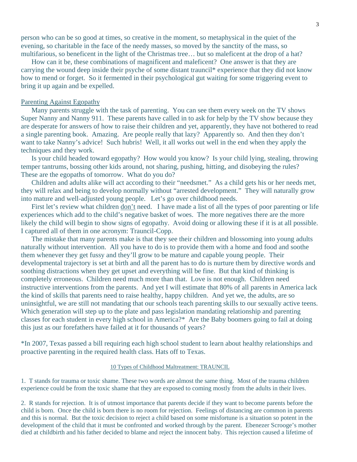person who can be so good at times, so creative in the moment, so metaphysical in the quiet of the evening, so charitable in the face of the needy masses, so moved by the sanctity of the mass, so multifarious, so beneficent in the light of the Christmas tree… but so maleficent at the drop of a hat?

 How can it be, these combinations of magnificent and maleficent? One answer is that they are carrying the wound deep inside their psyche of some distant trauncil\* experience that they did not know how to mend or forget. So it fermented in their psychological gut waiting for some triggering event to bring it up again and be expelled.

# Parenting Against Egopathy

 Many parents struggle with the task of parenting. You can see them every week on the TV shows Super Nanny and Nanny 911. These parents have called in to ask for help by the TV show because they are desperate for answers of how to raise their children and yet, apparently, they have not bothered to read a single parenting book. Amazing. Are people really that lazy? Apparently so. And then they don't want to take Nanny's advice! Such hubris! Well, it all works out well in the end when they apply the techniques and they work.

 Is your child headed toward egopathy? How would you know? Is your child lying, stealing, throwing temper tantrums, bossing other kids around, not sharing, pushing, hitting, and disobeying the rules? These are the egopaths of tomorrow. What do you do?

 Children and adults alike will act according to their "needsmet." As a child gets his or her needs met, they will relax and being to develop normally without "arrested development." They will naturally grow into mature and well-adjusted young people. Let's go over childhood needs.

 First let's review what children don't need. I have made a list of all the types of poor parenting or life experiences which add to the child's negative basket of woes. The more negatives there are the more likely the child will begin to show signs of egopathy. Avoid doing or allowing these if it is at all possible. I captured all of them in one acronym: Trauncil-Copp.

 The mistake that many parents make is that they see their children and blossoming into young adults naturally without intervention. All you have to do is to provide them with a home and food and soothe them whenever they get fussy and they'll grow to be mature and capable young people. Their developmental trajectory is set at birth and all the parent has to do is nurture them by directive words and soothing distractions when they get upset and everything will be fine. But that kind of thinking is completely erroneous. Children need much more than that. Love is not enough. Children need instructive interventions from the parents. And yet I will estimate that 80% of all parents in America lack the kind of skills that parents need to raise healthy, happy children. And yet we, the adults, are so uninsightful, we are still not mandating that our schools teach parenting skills to our sexually active teens. Which generation will step up to the plate and pass legislation mandating relationship and parenting classes for each student in every high school in America?\* Are the Baby boomers going to fail at doing this just as our forefathers have failed at it for thousands of years?

\*In 2007, Texas passed a bill requiring each high school student to learn about healthy relationships and proactive parenting in the required health class. Hats off to Texas.

#### 10 Types of Childhood Maltreatment: TRAUNCIL

1. T stands for trauma or toxic shame. These two words are almost the same thing. Most of the trauma children experience could be from the toxic shame that they are exposed to coming mostly from the adults in their lives.

2. R stands for rejection. It is of utmost importance that parents decide if they want to become parents before the child is born. Once the child is born there is no room for rejection. Feelings of distancing are common in parents and this is normal. But the toxic decision to reject a child based on some misfortune is a situation so potent in the development of the child that it must be confronted and worked through by the parent. Ebenezer Scrooge's mother died at childbirth and his father decided to blame and reject the innocent baby. This rejection caused a lifetime of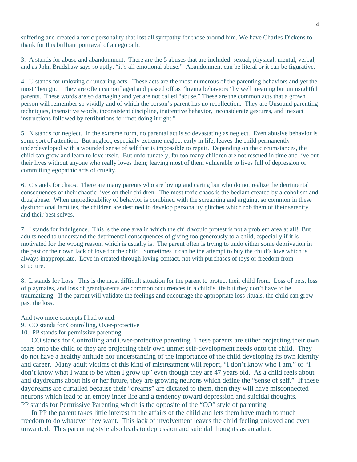suffering and created a toxic personality that lost all sympathy for those around him. We have Charles Dickens to thank for this brilliant portrayal of an egopath.

3. A stands for abuse and abandonment. There are the 5 abuses that are included: sexual, physical, mental, verbal, and as John Bradshaw says so aptly, "it's all emotional abuse." Abandonment can be literal or it can be figurative.

4. U stands for unloving or uncaring acts. These acts are the most numerous of the parenting behaviors and yet the most "benign." They are often camouflaged and passed off as "loving behaviors" by well meaning but uninsightful parents. These words are so damaging and yet are not called "abuse." These are the common acts that a grown person will remember so vividly and of which the person's parent has no recollection. They are Unsound parenting techniques, insensitive words, inconsistent discipline, inattentive behavior, inconsiderate gestures, and inexact instructions followed by retributions for "not doing it right."

5. N stands for neglect. In the extreme form, no parental act is so devastating as neglect. Even abusive behavior is some sort of attention. But neglect, especially extreme neglect early in life, leaves the child permanently underdeveloped with a wounded sense of self that is impossible to repair. Depending on the circumstances, the child can grow and learn to love itself. But unfortunately, far too many children are not rescued in time and live out their lives without anyone who really loves them; leaving most of them vulnerable to lives full of depression or committing egopathic acts of cruelty.

6. C stands for chaos. There are many parents who are loving and caring but who do not realize the detrimental consequences of their chaotic lives on their children. The most toxic chaos is the bedlam created by alcoholism and drug abuse. When unpredictability of behavior is combined with the screaming and arguing, so common in these dysfunctional families, the children are destined to develop personality glitches which rob them of their serenity and their best selves.

7. I stands for indulgence. This is the one area in which the child would protest is not a problem area at all! But adults need to understand the detrimental consequences of giving too generously to a child, especially if it is motivated for the wrong reason, which is usually is. The parent often is trying to undo either some deprivation in the past or their own lack of love for the child. Sometimes it can be the attempt to buy the child's love which is always inappropriate. Love in created through loving contact, not with purchases of toys or freedom from structure.

8. L stands for Loss. This is the most difficult situation for the parent to protect their child from. Loss of pets, loss of playmates, and loss of grandparents are common occurrences in a child's life but they don't have to be traumatizing. If the parent will validate the feelings and encourage the appropriate loss rituals, the child can grow past the loss.

And two more concepts I had to add:

- 9. CO stands for Controlling, Over-protective
- 10. PP stands for permissive parenting

CO stands for Controlling and Over-protective parenting. These parents are either projecting their own fears onto the child or they are projecting their own unmet self-development needs onto the child. They do not have a healthy attitude nor understanding of the importance of the child developing its own identity and career. Many adult victims of this kind of mistreatment will report, "I don't know who I am," or "I don't know what I want to be when I grow up" even though they are 47 years old. As a child feels about and daydreams about his or her future, they are growing neurons which define the "sense of self." If these daydreams are curtailed because their "dreams" are dictated to them, then they will have misconnected neurons which lead to an empty inner life and a tendency toward depression and suicidal thoughts. PP stands for Permissive Parenting which is the opposite of the "CO" style of parenting.

In PP the parent takes little interest in the affairs of the child and lets them have much to much freedom to do whatever they want. This lack of involvement leaves the child feeling unloved and even unwanted. This parenting style also leads to depression and suicidal thoughts as an adult.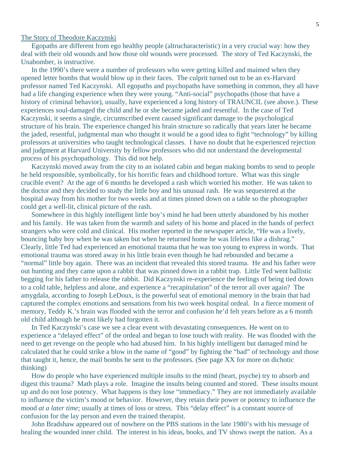#### The Story of Theodore Kaczynski

Egopaths are different from ego healthy people (altrucharacteristic) in a very crucial way: how they deal with their old wounds and how those old wounds were processed. The story of Ted Kaczynski, the Unabomber, is instructive.

 In the 1990's there were a number of professors who were getting killed and maimed when they opened letter bombs that would blow up in their faces. The culprit turned out to be an ex-Harvard professor named Ted Kaczynski. All egopaths and psychopaths have something in common, they all have had a life changing experience when they were young. "Anti-social" psychopaths (those that have a history of criminal behavior), usually, have experienced a long history of TRAUNCIL (see above.). These experiences soul-damaged the child and he or she became jaded and resentful. In the case of Ted Kaczynski, it seems a single, circumscribed event caused significant damage to the psychological structure of his brain. The experience changed his brain structure so radically that years later he became the jaded, resentful, judgmental man who thought it would be a good idea to fight "technology" by killing professors at universities who taught technological classes. I have no doubt that he experienced rejection and judgment at Harvard University by fellow professors who did not understand the developmental process of his psychopathology. This did not help.

 Kaczynski moved away from the city to an isolated cabin and began making bombs to send to people he held responsible, symbolically, for his horrific fears and childhood torture. What was this single crucible event? At the age of 6 months he developed a rash which worried his mother. He was taken to the doctor and they decided to study the little boy and his unusual rash. He was sequestered at the hospital away from his mother for two weeks and at times pinned down on a table so the photographer could get a well-lit, clinical picture of the rash.

 Somewhere in this highly intelligent little boy's mind he had been utterly abandoned by his mother and his family. He was taken from the warmth and safety of his home and placed in the hands of perfect strangers who were cold and clinical. His mother reported in the newspaper article, "He was a lively, bouncing baby boy when he was taken but when he returned home he was lifeless like a dishrag." Clearly, little Ted had experienced an emotional trauma that he was too young to express in words. That emotional trauma was stored away in his little brain even though he had rebounded and became a "normal" little boy again. There was an incident that revealed this stored trauma. He and his father were out hunting and they came upon a rabbit that was pinned down in a rabbit trap. Little Ted went ballistic begging for his father to release the rabbit. Did Kaczynski re-experience the feelings of being tied down to a cold table, helpless and alone, and experience a "recapitulation" of the terror all over again? The amygdala, according to Joseph LeDoux, is the powerful seat of emotional memory in the brain that had captured the complex emotions and sensations from his two week hospital ordeal. In a fierce moment of memory, Teddy K.'s brain was flooded with the terror and confusion he'd felt years before as a 6 month old child although he most likely had forgotten it.

In Ted Kaczynski's case we see a clear event with devastating consequences. He went on to experience a "delayed effect" of the ordeal and began to lose touch with reality. He was flooded with the need to get revenge on the people who had abused him. In his highly intelligent but damaged mind he calculated that he could strike a blow in the name of "good" by fighting the "bad" of technology and those that taught it, hence, the mail bombs he sent to the professors. (See page XX for more on dichotic thinking)

 How do people who have experienced multiple insults to the mind (heart, psyche) try to absorb and digest this trauma? Math plays a role. Imagine the insults being counted and stored. These insults mount up and do not lose potency. What happens is they lose "immediacy." They are not immediately available to influence the victim's mood or behavior. However, they retain their power or potency to influence the mood *at a later time*; usually at times of loss or stress. This "delay effect" is a constant source of confusion for the lay person and even the trained therapist.

 John Bradshaw appeared out of nowhere on the PBS stations in the late 1980's with his message of healing the wounded inner child. The interest in his ideas, books, and TV shows swept the nation. As a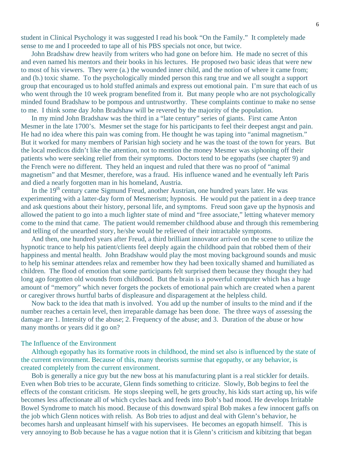student in Clinical Psychology it was suggested I read his book "On the Family." It completely made sense to me and I proceeded to tape all of his PBS specials not once, but twice.

 John Bradshaw drew heavily from writers who had gone on before him. He made no secret of this and even named his mentors and their books in his lectures. He proposed two basic ideas that were new to most of his viewers. They were (a.) the wounded inner child, and the notion of where it came from; and (b.) toxic shame. To the psychologically minded person this rang true and we all sought a support group that encouraged us to hold stuffed animals and express out emotional pain. I'm sure that each of us who went through the 10 week program benefited from it. But many people who are not psychologically minded found Bradshaw to be pompous and untrustworthy. These complaints continue to make no sense to me. I think some day John Bradshaw will be revered by the majority of the population.

 In my mind John Bradshaw was the third in a "late century" series of giants. First came Anton Mesmer in the late 1700's. Mesmer set the stage for his participants to feel their deepest angst and pain. He had no idea where this pain was coming from. He thought he was taping into "animal magnetism." But it worked for many members of Parisian high society and he was the toast of the town for years. But the local medicos didn't like the attention, not to mention the money Mesmer was siphoning off their patients who were seeking relief from their symptoms. Doctors tend to be egopaths (see chapter 9) and the French were no different. They held an inquest and ruled that there was no proof of "animal magnetism" and that Mesmer, therefore, was a fraud. His influence waned and he eventually left Paris and died a nearly forgotten man in his homeland, Austria.

In the  $19<sup>th</sup>$  century came Sigmund Freud, another Austrian, one hundred years later. He was experimenting with a latter-day form of Mesmerism; hypnosis. He would put the patient in a deep trance and ask questions about their history, personal life, and symptoms. Freud soon gave up the hypnosis and allowed the patient to go into a much lighter state of mind and "free associate," letting whatever memory come to the mind that came. The patient would remember childhood abuse and through this remembering and telling of the unearthed story, he/she would be relieved of their intractable symptoms.

 And then, one hundred years after Freud, a third brilliant innovator arrived on the scene to utilize the hypnotic trance to help his patient/clients feel deeply again the childhood pain that robbed them of their happiness and mental health. John Bradshaw would play the most moving background sounds and music to help his seminar attendees relax and remember how they had been toxically shamed and humiliated as children. The flood of emotion that some participants felt surprised them because they thought they had long ago forgotten old wounds from childhood. But the brain is a powerful computer which has a huge amount of "memory" which never forgets the pockets of emotional pain which are created when a parent or caregiver throws hurtful barbs of displeasure and disparagement at the helpless child.

 Now back to the idea that math is involved. You add up the number of insults to the mind and if the number reaches a certain level, then irreparable damage has been done. The three ways of assessing the damage are 1. Intensity of the abuse; 2. Frequency of the abuse; and 3. Duration of the abuse or how many months or years did it go on?

## The Influence of the Environment

 Although egopathy has its formative roots in childhood, the mind set also is influenced by the state of the current environment. Because of this, many theorists surmise that egopathy, or any behavior, is created completely from the current environment.

 Bob is generally a nice guy but the new boss at his manufacturing plant is a real stickler for details. Even when Bob tries to be accurate, Glenn finds something to criticize. Slowly, Bob begins to feel the effects of the constant criticism. He stops sleeping well, he gets grouchy, his kids start acting up, his wife becomes less affectionate all of which cycles back and feeds into Bob's bad mood. He develops Irritable Bowel Syndrome to match his mood. Because of this downward spiral Bob makes a few innocent gaffs on the job which Glenn notices with relish. As Bob tries to adjust and deal with Glenn's behavior, he becomes harsh and unpleasant himself with his supervisees. He becomes an egopath himself. This is very annoying to Bob because he has a vague notion that it is Glenn's criticism and kibitzing that began